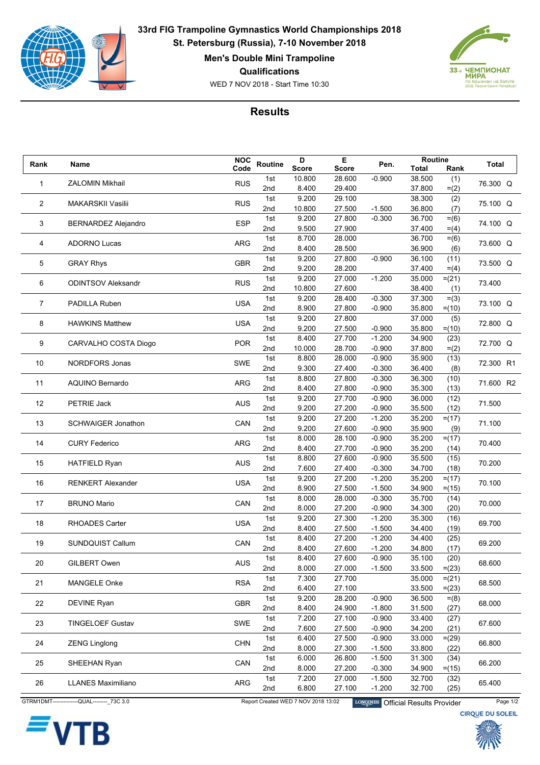

**33rd FIG Trampoline Gymnastics World Championships 2018 St. Petersburg (Russia), 7-10 November 2018**

**Men's Double Mini Trampoline**

**Qualifications**

WED 7 NOV 2018 - Start Time 10:30



## **Results**

| Rank | Name                       | <b>NOC</b> | Routine    | D              | Е                | Pen.                 | Routine          |              | Total     |
|------|----------------------------|------------|------------|----------------|------------------|----------------------|------------------|--------------|-----------|
|      |                            | Code       |            | <b>Score</b>   | <b>Score</b>     |                      | <b>Total</b>     | Rank         |           |
| 1    | <b>ZALOMIN Mikhail</b>     | <b>RUS</b> | 1st        | 10.800         | 28.600           | $-0.900$             | 38.500           | (1)          | 76.300 Q  |
|      |                            |            | 2nd        | 8.400          | 29.400           |                      | 37.800           | $= (2)$      |           |
| 2    | <b>MAKARSKII Vasilii</b>   | <b>RUS</b> | 1st        | 9.200          | 29.100           |                      | 38.300           | (2)          | 75.100 Q  |
|      |                            |            | 2nd        | 10.800         | 27.500           | $-1.500$             | 36.800           | (7)          |           |
| 3    | <b>BERNARDEZ Alejandro</b> | <b>ESP</b> | 1st        | 9.200          | 27.800           | $-0.300$             | 36.700           | $= (6)$      | 74.100 Q  |
|      |                            |            | 2nd        | 9.500          | 27.900           |                      | 37.400           | $= (4)$      |           |
| 4    | <b>ADORNO Lucas</b>        | <b>ARG</b> | 1st        | 8.700          | 28.000           |                      | 36.700           | $= (6)$      | 73.600 Q  |
|      |                            |            | 2nd        | 8.400          | 28.500           |                      | 36.900           | (6)          |           |
| 5    | <b>GRAY Rhys</b>           | <b>GBR</b> | 1st        | 9.200          | 27.800           | $-0.900$             | 36.100           | (11)         | 73.500 Q  |
|      |                            |            | 2nd        | 9.200          | 28.200           |                      | 37.400           | $= (4)$      |           |
| 6    | <b>ODINTSOV Aleksandr</b>  | <b>RUS</b> | 1st        | 9.200          | 27.000           | $-1.200$             | 35.000           | $=(21)$      | 73.400    |
|      |                            |            | 2nd        | 10.800         | 27.600           |                      | 38.400           | (1)          |           |
| 7    | PADILLA Ruben              | <b>USA</b> | 1st        | 9.200          | 28.400           | $-0.300$             | 37.300           | $= (3)$      | 73.100 Q  |
|      |                            |            | 2nd        | 8.900          | 27.800           | $-0.900$             | 35.800           | $= (10)$     |           |
| 8    | <b>HAWKINS Matthew</b>     | <b>USA</b> | 1st        | 9.200          | 27.800           |                      | 37.000           | (5)          | 72.800 Q  |
|      |                            |            | 2nd        | 9.200          | 27.500           | $-0.900$             | 35.800           | $= (10)$     |           |
| 9    | CARVALHO COSTA Diogo       | <b>POR</b> | 1st        | 8.400          | 27.700           | $-1.200$             | 34.900           | (23)         | 72.700 Q  |
|      |                            |            | 2nd        | 10.000         | 28.700           | $-0.900$             | 37.800           | $= (2)$      |           |
| 10   | <b>NORDFORS Jonas</b>      | SWE        | 1st        | 8.800          | 28.000           | $-0.900$             | 35.900           | (13)         | 72.300 R1 |
|      |                            |            | 2nd        | 9.300          | 27.400           | $-0.300$             | 36.400           | (8)          |           |
| 11   | <b>AQUINO Bernardo</b>     | ARG        | 1st        | 8.800          | 27.800           | $-0.300$             | 36.300           | (10)         | 71.600 R2 |
|      |                            |            | 2nd        | 8.400          | 27.800           | $-0.900$             | 35.300           | (13)         |           |
| 12   | PETRIE Jack                | <b>AUS</b> | 1st        | 9.200          | 27.700           | $-0.900$             | 36.000           | (12)         | 71.500    |
|      |                            |            | 2nd        | 9.200          | 27.200           | $-0.900$             | 35.500           | (12)         |           |
| 13   | <b>SCHWAIGER Jonathon</b>  | CAN        | 1st        | 9.200          | 27.200           | $-1.200$             | 35.200           | $= (17)$     | 71.100    |
|      |                            |            | 2nd        | 9.200          | 27.600           | $-0.900$             | 35.900           | (9)          |           |
| 14   | <b>CURY Federico</b>       | ARG        | 1st        | 8.000          | 28.100           | $-0.900$             | 35.200           | $= (17)$     | 70.400    |
|      |                            |            | 2nd<br>1st | 8.400<br>8.800 | 27.700<br>27.600 | $-0.900$<br>$-0.900$ | 35.200<br>35.500 | (14)<br>(15) |           |
| 15   | <b>HATFIELD Ryan</b>       | <b>AUS</b> | 2nd        | 7.600          | 27.400           | $-0.300$             | 34.700           | (18)         | 70.200    |
|      |                            |            | 1st        | 9.200          | 27.200           | $-1.200$             | 35.200           | $= (17)$     |           |
| 16   | <b>RENKERT Alexander</b>   | <b>USA</b> | 2nd        | 8.900          | 27.500           | $-1.500$             | 34.900           | $= (15)$     | 70.100    |
|      |                            |            | 1st        | 8.000          | 28.000           | $-0.300$             | 35.700           | (14)         |           |
| 17   | <b>BRUNO Mario</b>         | CAN        | 2nd        | 8.000          | 27.200           | $-0.900$             | 34.300           | (20)         | 70.000    |
|      |                            |            | 1st        | 9.200          | 27.300           | $-1.200$             | 35.300           | (16)         |           |
| 18   | <b>RHOADES Carter</b>      | <b>USA</b> | 2nd        | 8.400          | 27.500           | $-1.500$             | 34.400           | (19)         | 69.700    |
|      |                            |            | 1st        | 8.400          | 27.200           | $-1.200$             | 34.400           | (25)         |           |
| 19   | <b>SUNDQUIST Callum</b>    | CAN        | 2nd        | 8.400          | 27.600           | $-1.200$             | 34.800           | (17)         | 69.200    |
|      |                            |            | 1st        | 8.400          | 27.600           | $-0.900$             | 35.100           | (20)         |           |
| 20   | GILBERT Owen               | <b>AUS</b> | 2nd        | 8.000          | 27.000           | $-1.500$             | 33.500           | $= (23)$     | 68.600    |
|      |                            |            | 1st        | 7.300          | 27.700           |                      | 35.000           | $=(21)$      |           |
| 21   | <b>MANGELE Onke</b>        | <b>RSA</b> | 2nd        | 6.400          | 27.100           |                      | 33.500           | $= (23)$     | 68.500    |
|      |                            |            | 1st        | 9.200          | 28.200           | $-0.900$             | 36.500           | $= (8)$      |           |
| 22   | DEVINE Ryan                | <b>GBR</b> | 2nd        | 8.400          | 24.900           | $-1.800$             | 31.500           | (27)         | 68.000    |
|      |                            |            | 1st        | 7.200          | 27.100           | $-0.900$             | 33.400           | (27)         |           |
| 23   | <b>TINGELOEF Gustav</b>    | SWE        | 2nd        | 7.600          | 27.500           | $-0.900$             | 34.200           | (21)         | 67.600    |
|      |                            |            | 1st        | 6.400          | 27.500           | $-0.900$             | 33.000           | $=(29)$      | 66.800    |
| 24   | <b>ZENG Linglong</b>       | <b>CHN</b> | 2nd        | 8.000          | 27.300           | $-1.500$             | 33.800           | (22)         |           |
|      |                            |            | 1st        | 6.000          | 26.800           | $-1.500$             | 31.300           | (34)         |           |
| 25   | SHEEHAN Ryan               | CAN        | 2nd        | 8.000          | 27.200           | $-0.300$             | 34.900           | $= (15)$     | 66.200    |
|      | <b>LLANES Maximiliano</b>  | ARG        | 1st        | 7.200          | 27.000           | $-1.500$             | 32.700           | (32)         | 65.400    |
| 26   |                            |            | 2nd        | 6.800          | 27.100           | $-1.200$             | 32.700           | (25)         |           |
|      |                            |            |            |                |                  |                      |                  |              |           |



GTRM1DMT---------------QUAL---------\_73C 3.0 Report Created WED 7 NOV 2018 13:02 LONGINES Official Results Provider Page 1/2<br>CIRQUE DU SOLEIL